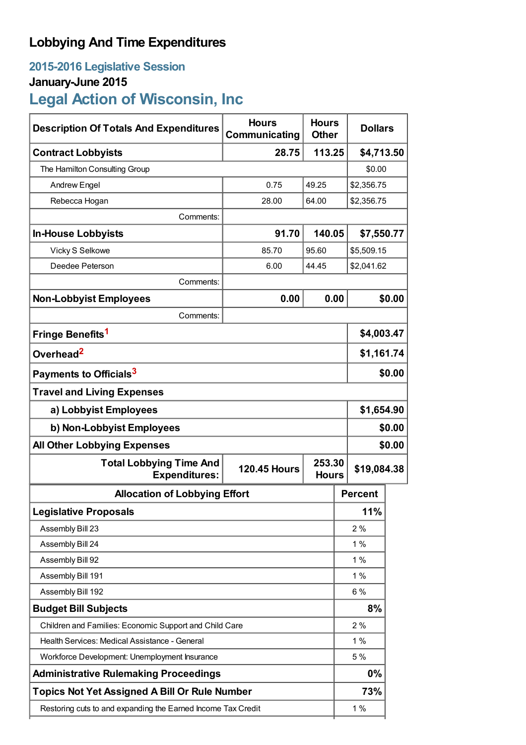# **Lobbying And Time Expenditures**

# **2015-2016 Legislative Session**

## **January-June 2015**

# **Legal Action of Wisconsin, Inc**

| <b>Description Of Totals And Expenditures</b>                | <b>Hours</b><br>Communicating | <b>Hours</b><br><b>Other</b> |                | <b>Dollars</b> |  |
|--------------------------------------------------------------|-------------------------------|------------------------------|----------------|----------------|--|
| <b>Contract Lobbyists</b>                                    | 28.75                         | 113.25                       |                | \$4,713.50     |  |
| The Hamilton Consulting Group                                |                               |                              | \$0.00         |                |  |
| <b>Andrew Engel</b>                                          | 0.75                          | 49.25                        |                | \$2,356.75     |  |
| Rebecca Hogan                                                | 28.00                         | 64.00                        |                | \$2,356.75     |  |
| Comments:                                                    |                               |                              |                |                |  |
| <b>In-House Lobbyists</b>                                    | 91.70                         | 140.05                       |                | \$7,550.77     |  |
| Vicky S Selkowe                                              | 85.70                         | 95.60                        |                | \$5,509.15     |  |
| Deedee Peterson                                              | 6.00                          | 44.45                        |                | \$2,041.62     |  |
| Comments:                                                    |                               |                              |                |                |  |
| <b>Non-Lobbyist Employees</b>                                | 0.00                          |                              | 0.00<br>\$0.00 |                |  |
| Comments:                                                    |                               |                              |                |                |  |
| Fringe Benefits <sup>1</sup>                                 |                               |                              |                | \$4,003.47     |  |
| Overhead <sup>2</sup>                                        |                               |                              |                | \$1,161.74     |  |
| Payments to Officials <sup>3</sup>                           |                               |                              |                | \$0.00         |  |
| <b>Travel and Living Expenses</b>                            |                               |                              |                |                |  |
| a) Lobbyist Employees                                        |                               |                              |                | \$1,654.90     |  |
| b) Non-Lobbyist Employees                                    |                               |                              |                | \$0.00         |  |
| <b>All Other Lobbying Expenses</b>                           |                               |                              |                | \$0.00         |  |
| <b>Total Lobbying Time And</b><br><b>Expenditures:</b>       | <b>120.45 Hours</b>           | 253.30<br><b>Hours</b>       | \$19,084.38    |                |  |
| <b>Allocation of Lobbying Effort</b>                         |                               |                              | <b>Percent</b> |                |  |
| <b>Legislative Proposals</b>                                 |                               |                              | 11%            |                |  |
| Assembly Bill 23                                             |                               |                              | 2%             |                |  |
| Assembly Bill 24                                             |                               |                              | 1%             |                |  |
| Assembly Bill 92                                             |                               |                              | 1%             |                |  |
| Assembly Bill 191                                            |                               |                              | 1%             |                |  |
| Assembly Bill 192                                            |                               |                              | $6\%$          |                |  |
| <b>Budget Bill Subjects</b>                                  |                               |                              | 8%             |                |  |
| Children and Families: Economic Support and Child Care       |                               |                              | 2%             |                |  |
| Health Services: Medical Assistance - General                |                               |                              | 1%             |                |  |
| Workforce Development: Unemployment Insurance                |                               |                              | 5 %            |                |  |
| <b>Administrative Rulemaking Proceedings</b>                 |                               |                              | 0%             |                |  |
| <b>Topics Not Yet Assigned A Bill Or Rule Number</b>         |                               |                              | 73%            |                |  |
| Restoring cuts to and expanding the Earned Income Tax Credit |                               |                              | 1%             |                |  |